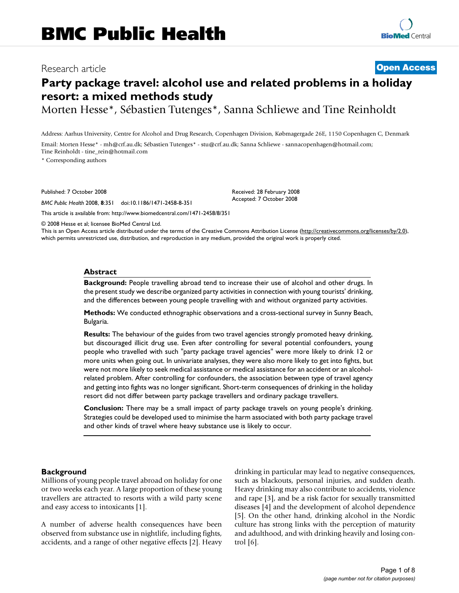## Research article **[Open Access](http://www.biomedcentral.com/info/about/charter/)**

# **Party package travel: alcohol use and related problems in a holiday resort: a mixed methods study**

Received: 28 February 2008 Accepted: 7 October 2008

Morten Hesse\*, Sébastien Tutenges\*, Sanna Schliewe and Tine Reinholdt

Address: Aarhus University, Centre for Alcohol and Drug Research, Copenhagen Division, Købmagergade 26E, 1150 Copenhagen C, Denmark

Email: Morten Hesse\* - mh@crf.au.dk; Sébastien Tutenges\* - stu@crf.au.dk; Sanna Schliewe - sannacopenhagen@hotmail.com; Tine Reinholdt - tine\_rein@hotmail.com

\* Corresponding authors

Published: 7 October 2008

*BMC Public Health* 2008, **8**:351 doi:10.1186/1471-2458-8-351

[This article is available from: http://www.biomedcentral.com/1471-2458/8/351](http://www.biomedcentral.com/1471-2458/8/351)

© 2008 Hesse et al; licensee BioMed Central Ltd.

This is an Open Access article distributed under the terms of the Creative Commons Attribution License [\(http://creativecommons.org/licenses/by/2.0\)](http://creativecommons.org/licenses/by/2.0), which permits unrestricted use, distribution, and reproduction in any medium, provided the original work is properly cited.

#### **Abstract**

**Background:** People travelling abroad tend to increase their use of alcohol and other drugs. In the present study we describe organized party activities in connection with young tourists' drinking, and the differences between young people travelling with and without organized party activities.

**Methods:** We conducted ethnographic observations and a cross-sectional survey in Sunny Beach, Bulgaria.

**Results:** The behaviour of the guides from two travel agencies strongly promoted heavy drinking, but discouraged illicit drug use. Even after controlling for several potential confounders, young people who travelled with such "party package travel agencies" were more likely to drink 12 or more units when going out. In univariate analyses, they were also more likely to get into fights, but were not more likely to seek medical assistance or medical assistance for an accident or an alcoholrelated problem. After controlling for confounders, the association between type of travel agency and getting into fights was no longer significant. Short-term consequences of drinking in the holiday resort did not differ between party package travellers and ordinary package travellers.

**Conclusion:** There may be a small impact of party package travels on young people's drinking. Strategies could be developed used to minimise the harm associated with both party package travel and other kinds of travel where heavy substance use is likely to occur.

#### **Background**

Millions of young people travel abroad on holiday for one or two weeks each year. A large proportion of these young travellers are attracted to resorts with a wild party scene and easy access to intoxicants [1].

A number of adverse health consequences have been observed from substance use in nightlife, including fights, accidents, and a range of other negative effects [2]. Heavy drinking in particular may lead to negative consequences, such as blackouts, personal injuries, and sudden death. Heavy drinking may also contribute to accidents, violence and rape [3], and be a risk factor for sexually transmitted diseases [4] and the development of alcohol dependence [5]. On the other hand, drinking alcohol in the Nordic culture has strong links with the perception of maturity and adulthood, and with drinking heavily and losing control [6].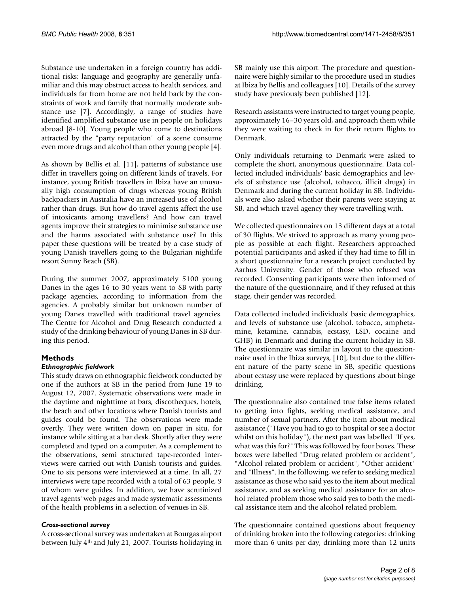Substance use undertaken in a foreign country has additional risks: language and geography are generally unfamiliar and this may obstruct access to health services, and individuals far from home are not held back by the constraints of work and family that normally moderate substance use [7]. Accordingly, a range of studies have identified amplified substance use in people on holidays abroad [8-10]. Young people who come to destinations attracted by the "party reputation" of a scene consume even more drugs and alcohol than other young people [4].

As shown by Bellis et al. [11], patterns of substance use differ in travellers going on different kinds of travels. For instance, young British travellers in Ibiza have an unusually high consumption of drugs whereas young British backpackers in Australia have an increased use of alcohol rather than drugs. But how do travel agents affect the use of intoxicants among travellers? And how can travel agents improve their strategies to minimise substance use and the harms associated with substance use? In this paper these questions will be treated by a case study of young Danish travellers going to the Bulgarian nightlife resort Sunny Beach (SB).

During the summer 2007, approximately 5100 young Danes in the ages 16 to 30 years went to SB with party package agencies, according to information from the agencies. A probably similar but unknown number of young Danes travelled with traditional travel agencies. The Centre for Alcohol and Drug Research conducted a study of the drinking behaviour of young Danes in SB during this period.

## **Methods**

## *Ethnographic fieldwork*

This study draws on ethnographic fieldwork conducted by one if the authors at SB in the period from June 19 to August 12, 2007. Systematic observations were made in the daytime and nighttime at bars, discotheques, hotels, the beach and other locations where Danish tourists and guides could be found. The observations were made overtly. They were written down on paper in situ, for instance while sitting at a bar desk. Shortly after they were completed and typed on a computer. As a complement to the observations, semi structured tape-recorded interviews were carried out with Danish tourists and guides. One to six persons were interviewed at a time. In all, 27 interviews were tape recorded with a total of 63 people, 9 of whom were guides. In addition, we have scrutinized travel agents' web pages and made systematic assessments of the health problems in a selection of venues in SB.

## *Cross-sectional survey*

A cross-sectional survey was undertaken at Bourgas airport between July 4th and July 21, 2007. Tourists holidaying in

SB mainly use this airport. The procedure and questionnaire were highly similar to the procedure used in studies at Ibiza by Bellis and colleagues [10]. Details of the survey study have previously been published [12].

Research assistants were instructed to target young people, approximately 16–30 years old, and approach them while they were waiting to check in for their return flights to Denmark.

Only individuals returning to Denmark were asked to complete the short, anonymous questionnaire. Data collected included individuals' basic demographics and levels of substance use (alcohol, tobacco, illicit drugs) in Denmark and during the current holiday in SB. Individuals were also asked whether their parents were staying at SB, and which travel agency they were travelling with.

We collected questionnaires on 13 different days at a total of 30 flights. We strived to approach as many young people as possible at each flight. Researchers approached potential participants and asked if they had time to fill in a short questionnaire for a research project conducted by Aarhus University. Gender of those who refused was recorded. Consenting participants were then informed of the nature of the questionnaire, and if they refused at this stage, their gender was recorded.

Data collected included individuals' basic demographics, and levels of substance use (alcohol, tobacco, amphetamine, ketamine, cannabis, ecstasy, LSD, cocaine and GHB) in Denmark and during the current holiday in SB. The questionnaire was similar in layout to the questionnaire used in the Ibiza surveys, [10], but due to the different nature of the party scene in SB, specific questions about ecstasy use were replaced by questions about binge drinking.

The questionnaire also contained true false items related to getting into fights, seeking medical assistance, and number of sexual partners. After the item about medical assistance ("Have you had to go to hospital or see a doctor whilst on this holiday"), the next part was labelled "If yes, what was this for?" This was followed by four boxes. These boxes were labelled "Drug related problem or accident", "Alcohol related problem or accident", "Other accident" and "Illness". In the following, we refer to seeking medical assistance as those who said yes to the item about medical assistance, and as seeking medical assistance for an alcohol related problem those who said yes to both the medical assistance item and the alcohol related problem.

The questionnaire contained questions about frequency of drinking broken into the following categories: drinking more than 6 units per day, drinking more than 12 units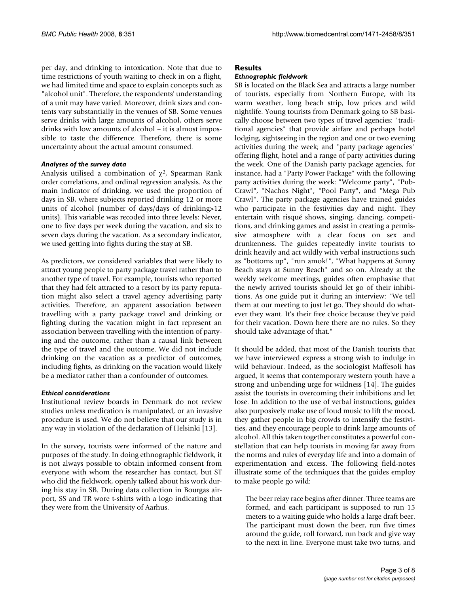per day, and drinking to intoxication. Note that due to time restrictions of youth waiting to check in on a flight, we had limited time and space to explain concepts such as "alcohol unit". Therefore, the respondents' understanding of a unit may have varied. Moreover, drink sizes and contents vary substantially in the venues of SB. Some venues serve drinks with large amounts of alcohol, others serve drinks with low amounts of alcohol – it is almost impossible to taste the difference. Therefore, there is some uncertainty about the actual amount consumed.

#### *Analyses of the survey data*

Analysis utilised a combination of  $\chi^2$ , Spearman Rank order correlations, and ordinal regression analysis. As the main indicator of drinking, we used the proportion of days in SB, where subjects reported drinking 12 or more units of alcohol (number of days/days of drinking>12 units). This variable was recoded into three levels: Never, one to five days per week during the vacation, and six to seven days during the vacation. As a secondary indicator, we used getting into fights during the stay at SB.

As predictors, we considered variables that were likely to attract young people to party package travel rather than to another type of travel. For example, tourists who reported that they had felt attracted to a resort by its party reputation might also select a travel agency advertising party activities. Therefore, an apparent association between travelling with a party package travel and drinking or fighting during the vacation might in fact represent an association between travelling with the intention of partying and the outcome, rather than a causal link between the type of travel and the outcome. We did not include drinking on the vacation as a predictor of outcomes, including fights, as drinking on the vacation would likely be a mediator rather than a confounder of outcomes.

#### *Ethical considerations*

Institutional review boards in Denmark do not review studies unless medication is manipulated, or an invasive procedure is used. We do not believe that our study is in any way in violation of the declaration of Helsinki [13].

In the survey, tourists were informed of the nature and purposes of the study. In doing ethnographic fieldwork, it is not always possible to obtain informed consent from everyone with whom the researcher has contact, but ST who did the fieldwork, openly talked about his work during his stay in SB. During data collection in Bourgas airport, SS and TR wore t-shirts with a logo indicating that they were from the University of Aarhus.

## **Results**

#### *Ethnographic fieldwork*

SB is located on the Black Sea and attracts a large number of tourists, especially from Northern Europe, with its warm weather, long beach strip, low prices and wild nightlife. Young tourists from Denmark going to SB basically choose between two types of travel agencies: "traditional agencies" that provide airfare and perhaps hotel lodging, sightseeing in the region and one or two evening activities during the week; and "party package agencies" offering flight, hotel and a range of party activities during the week. One of the Danish party package agencies, for instance, had a "Party Power Package" with the following party activities during the week: "Welcome party", "Pub-Crawl", "Nachos Night", "Pool Party", and "Mega Pub Crawl". The party package agencies have trained guides who participate in the festivities day and night. They entertain with risqué shows, singing, dancing, competitions, and drinking games and assist in creating a permissive atmosphere with a clear focus on sex and drunkenness. The guides repeatedly invite tourists to drink heavily and act wildly with verbal instructions such as "bottoms up", "run amok!", "What happens at Sunny Beach stays at Sunny Beach" and so on. Already at the weekly welcome meetings, guides often emphasise that the newly arrived tourists should let go of their inhibitions. As one guide put it during an interview: "We tell them at our meeting to just let go. They should do whatever they want. It's their free choice because they've paid for their vacation. Down here there are no rules. So they should take advantage of that."

It should be added, that most of the Danish tourists that we have interviewed express a strong wish to indulge in wild behaviour. Indeed, as the sociologist Maffesoli has argued, it seems that contemporary western youth have a strong and unbending urge for wildness [14]. The guides assist the tourists in overcoming their inhibitions and let lose. In addition to the use of verbal instructions, guides also purposively make use of loud music to lift the mood, they gather people in big crowds to intensify the festivities, and they encourage people to drink large amounts of alcohol. All this taken together constitutes a powerful constellation that can help tourists in moving far away from the norms and rules of everyday life and into a domain of experimentation and excess. The following field-notes illustrate some of the techniques that the guides employ to make people go wild:

The beer relay race begins after dinner. Three teams are formed, and each participant is supposed to run 15 meters to a waiting guide who holds a large draft beer. The participant must down the beer, run five times around the guide, roll forward, run back and give way to the next in line. Everyone must take two turns, and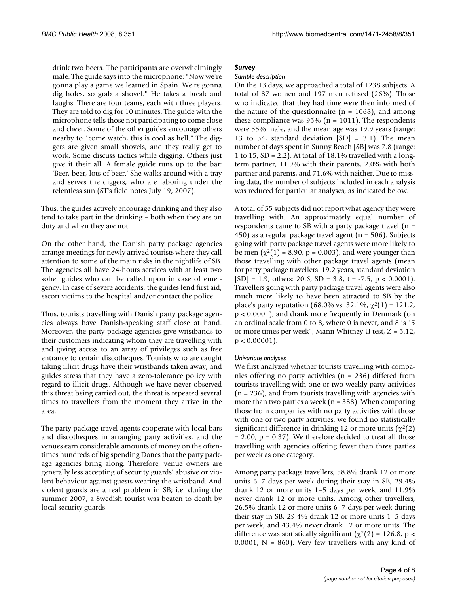drink two beers. The participants are overwhelmingly male. The guide says into the microphone: "Now we're gonna play a game we learned in Spain. We're gonna dig holes, so grab a shovel." He takes a break and laughs. There are four teams, each with three players. They are told to dig for 10 minutes. The guide with the microphone tells those not participating to come close and cheer. Some of the other guides encourage others nearby to "come watch, this is cool as hell." The diggers are given small shovels, and they really get to work. Some discuss tactics while digging. Others just give it their all. A female guide runs up to the bar: 'Beer, beer, lots of beer.' She walks around with a tray and serves the diggers, who are laboring under the relentless sun (ST's field notes July 19, 2007).

Thus, the guides actively encourage drinking and they also tend to take part in the drinking – both when they are on duty and when they are not.

On the other hand, the Danish party package agencies arrange meetings for newly arrived tourists where they call attention to some of the main risks in the nightlife of SB. The agencies all have 24-hours services with at least two sober guides who can be called upon in case of emergency. In case of severe accidents, the guides lend first aid, escort victims to the hospital and/or contact the police.

Thus, tourists travelling with Danish party package agencies always have Danish-speaking staff close at hand. Moreover, the party package agencies give wristbands to their customers indicating whom they are travelling with and giving access to an array of privileges such as free entrance to certain discotheques. Tourists who are caught taking illicit drugs have their wristbands taken away, and guides stress that they have a zero-tolerance policy with regard to illicit drugs. Although we have never observed this threat being carried out, the threat is repeated several times to travellers from the moment they arrive in the area.

The party package travel agents cooperate with local bars and discotheques in arranging party activities, and the venues earn considerable amounts of money on the oftentimes hundreds of big spending Danes that the party package agencies bring along. Therefore, venue owners are generally less accepting of security guards' abusive or violent behaviour against guests wearing the wristband. And violent guards are a real problem in SB; i.e. during the summer 2007, a Swedish tourist was beaten to death by local security guards.

## *Survey*

#### *Sample description*

On the 13 days, we approached a total of 1238 subjects. A total of 87 women and 197 men refused (26%). Those who indicated that they had time were then informed of the nature of the questionnaire  $(n = 1068)$ , and among these compliance was  $95\%$  (n = 1011). The respondents were 55% male, and the mean age was 19.9 years (range: 13 to 34, standard deviation [SD] = 3.1). The mean number of days spent in Sunny Beach [SB] was 7.8 (range: 1 to  $15$ , SD = 2.2). At total of  $18.1\%$  travelled with a longterm partner, 11.9% with their parents, 2.0% with both partner and parents, and 71.6% with neither. Due to missing data, the number of subjects included in each analysis was reduced for particular analyses, as indicated below.

A total of 55 subjects did not report what agency they were travelling with. An approximately equal number of respondents came to SB with a party package travel  $(n =$ 450) as a regular package travel agent (n = 506). Subjects going with party package travel agents were more likely to be men  $(\chi^2(1) = 8.90, p = 0.003)$ , and were younger than those travelling with other package travel agents (mean for party package travellers: 19.2 years, standard deviation  $[SD] = 1.9$ ; others: 20.6,  $SD = 3.8$ , t = -7.5, p < 0.0001). Travellers going with party package travel agents were also much more likely to have been attracted to SB by the place's party reputation (68.0% vs. 32.1%,  $\chi^2(1) = 121.2$ , p < 0.0001), and drank more frequently in Denmark (on an ordinal scale from 0 to 8, where 0 is never, and 8 is "5 or more times per week", Mann Whitney U test,  $Z = 5.12$ ,  $p < 0.00001$ ).

#### *Univariate analyses*

We first analyzed whether tourists travelling with companies offering no party activities (n = 236) differed from tourists travelling with one or two weekly party activities  $(n = 236)$ , and from tourists travelling with agencies with more than two parties a week ( $n = 388$ ). When comparing those from companies with no party activities with those with one or two party activities, we found no statistically significant difference in drinking 12 or more units  $(\chi^2(2))$  $= 2.00$ ,  $p = 0.37$ ). We therefore decided to treat all those travelling with agencies offering fewer than three parties per week as one category.

Among party package travellers, 58.8% drank 12 or more units 6–7 days per week during their stay in SB, 29.4% drank 12 or more units 1–5 days per week, and 11.9% never drank 12 or more units. Among other travellers, 26.5% drank 12 or more units 6–7 days per week during their stay in SB, 29.4% drank 12 or more units 1–5 days per week, and 43.4% never drank 12 or more units. The difference was statistically significant ( $\chi^2(2) = 126.8$ , p < 0.0001,  $N = 860$ ). Very few travellers with any kind of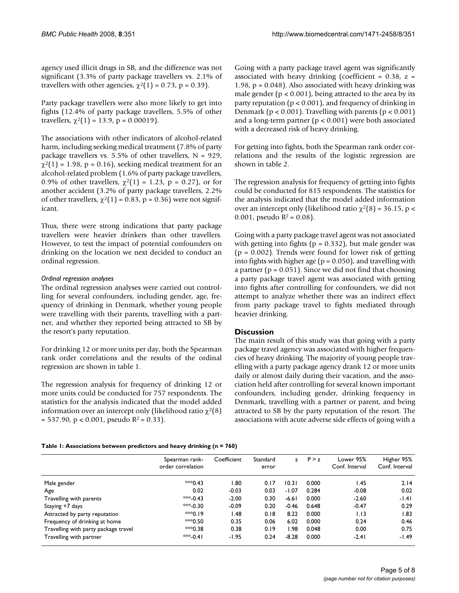agency used illicit drugs in SB, and the difference was not significant (3.3% of party package travellers vs. 2.1% of travellers with other agencies,  $\chi^2(1) = 0.73$ , p = 0.39).

Party package travellers were also more likely to get into fights (12.4% of party package travellers, 5.5% of other travellers,  $\chi^2(1) = 13.9$ , p = 0.00019).

The associations with other indicators of alcohol-related harm, including seeking medical treatment (7.8% of party package travellers vs. 5.5% of other travellers,  $N = 929$ ,  $\chi^2(1) = 1.98$ , p = 0.16), seeking medical treatment for an alcohol-related problem (1.6% of party package travellers, 0.9% of other travellers,  $\chi^2(1) = 1.23$ , p = 0.27), or for another accident (3.2% of party package travellers, 2.2% of other travellers,  $\chi^2(1) = 0.83$ , p = 0.36) were not significant.

Thus, there were strong indications that party package travellers were heavier drinkers than other travellers. However, to test the impact of potential confounders on drinking on the location we next decided to conduct an ordinal regression.

## *Ordinal regression analyses*

The ordinal regression analyses were carried out controlling for several confounders, including gender, age, frequency of drinking in Denmark, whether young people were travelling with their parents, travelling with a partner, and whether they reported being attracted to SB by the resort's party reputation.

For drinking 12 or more units per day, both the Spearman rank order correlations and the results of the ordinal regression are shown in table 1.

The regression analysis for frequency of drinking 12 or more units could be conducted for 757 respondents. The statistics for the analysis indicated that the model added information over an intercept only (likelihood ratio  $\chi^2(8)$ )  $= 537.90$ , p < 0.001, pseudo R<sup>2</sup> = 0.33).

Going with a party package travel agent was significantly associated with heavy drinking (coefficient =  $0.38$ , z = 1.98,  $p = 0.048$ ). Also associated with heavy drinking was male gender ( $p < 0.001$ ), being attracted to the area by its party reputation ( $p < 0.001$ ), and frequency of drinking in Denmark ( $p < 0.001$ ). Travelling with parents ( $p < 0.001$ ) and a long-term partner ( $p < 0.001$ ) were both associated with a decreased risk of heavy drinking.

For getting into fights, both the Spearman rank order correlations and the results of the logistic regression are shown in table 2.

The regression analysis for frequency of getting into fights could be conducted for 815 respondents. The statistics for the analysis indicated that the model added information over an intercept only (likelihood ratio  $χ²(8) = 36.15$ , p < 0.001, pseudo  $R^2 = 0.08$ ).

Going with a party package travel agent was not associated with getting into fights ( $p = 0.332$ ), but male gender was  $(p = 0.002)$ . Trends were found for lower risk of getting into fights with higher age ( $p = 0.050$ ), and travelling with a partner ( $p = 0.051$ ). Since we did not find that choosing a party package travel agent was associated with getting into fights after controlling for confounders, we did not attempt to analyze whether there was an indirect effect from party package travel to fights mediated through heavier drinking.

## **Discussion**

The main result of this study was that going with a party package travel agency was associated with higher frequencies of heavy drinking. The majority of young people travelling with a party package agency drank 12 or more units daily or almost daily during their vacation, and the association held after controlling for several known important confounders, including gender, drinking frequency in Denmark, travelling with a partner or parent, and being attracted to SB by the party reputation of the resort. The associations with acute adverse side effects of going with a

#### **Table 1: Associations between predictors and heavy drinking (n = 760)**

|                                      | Spearman rank-<br>order correlation | Coefficient | Standard<br>error | $\mathbf{z}$ | P > z | Lower 95%<br>Conf. Interval | Higher 95%<br>Conf. Interval |
|--------------------------------------|-------------------------------------|-------------|-------------------|--------------|-------|-----------------------------|------------------------------|
| Male gender                          | ***0.43                             | 80. ا       | 0.17              | 10.31        | 0.000 | I.45                        | 2.14                         |
| Age                                  | 0.02                                | $-0.03$     | 0.03              | $-1.07$      | 0.284 | $-0.08$                     | 0.02                         |
| Travelling with parents              | ***-0.43                            | $-2.00$     | 0.30              | $-6.61$      | 0.000 | $-2.60$                     | $-1.41$                      |
| Staying +7 days                      | ***-0.30                            | $-0.09$     | 0.20              | $-0.46$      | 0.648 | $-0.47$                     | 0.29                         |
| Attracted by party reputation        | ***0.19                             | l.48        | 0.18              | 8.22         | 0.000 | 1.13                        | 1.83                         |
| Frequency of drinking at home        | ***0.50                             | 0.35        | 0.06              | 6.02         | 0.000 | 0.24                        | 0.46                         |
| Travelling with party package travel | ***0.38                             | 0.38        | 0.19              | 1.98         | 0.048 | 0.00                        | 0.75                         |
| Travelling with partner              | ***-0.4                             | $-1.95$     | 0.24              | $-8.28$      | 0.000 | $-2.41$                     | $-1.49$                      |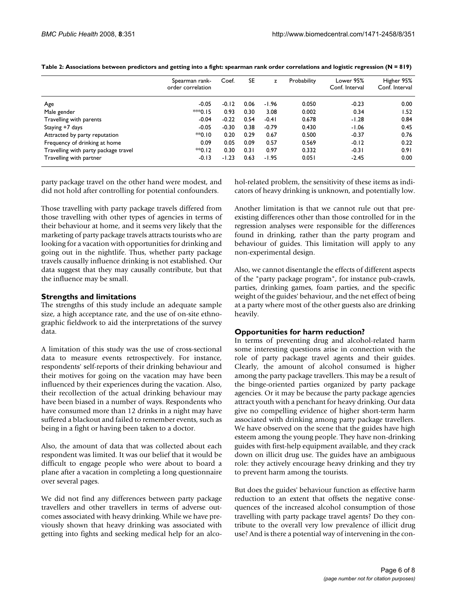|                                      | Spearman rank-<br>order correlation | Coef.   | SE   | z       | Probability | Lower 95%<br>Conf. Interval | Higher 95%<br>Conf. Interval |
|--------------------------------------|-------------------------------------|---------|------|---------|-------------|-----------------------------|------------------------------|
| Age                                  | $-0.05$                             | $-0.12$ | 0.06 | $-1.96$ | 0.050       | $-0.23$                     | 0.00                         |
| Male gender                          | ***0.15                             | 0.93    | 0.30 | 3.08    | 0.002       | 0.34                        | l.52                         |
| Travelling with parents              | $-0.04$                             | $-0.22$ | 0.54 | $-0.41$ | 0.678       | $-1.28$                     | 0.84                         |
| Staying +7 days                      | $-0.05$                             | $-0.30$ | 0.38 | $-0.79$ | 0.430       | $-1.06$                     | 0.45                         |
| Attracted by party reputation        | $*$ 0.10                            | 0.20    | 0.29 | 0.67    | 0.500       | $-0.37$                     | 0.76                         |
| Frequency of drinking at home        | 0.09                                | 0.05    | 0.09 | 0.57    | 0.569       | $-0.12$                     | 0.22                         |
| Travelling with party package travel | $*$ 0.12                            | 0.30    | 0.31 | 0.97    | 0.332       | $-0.31$                     | 0.91                         |
| Travelling with partner              | $-0.13$                             | $-1.23$ | 0.63 | $-1.95$ | 0.051       | $-2.45$                     | 0.00                         |

**Table 2: Associations between predictors and getting into a fight: spearman rank order correlations and logistic regression (N = 819)**

party package travel on the other hand were modest, and did not hold after controlling for potential confounders.

Those travelling with party package travels differed from those travelling with other types of agencies in terms of their behaviour at home, and it seems very likely that the marketing of party package travels attracts tourists who are looking for a vacation with opportunities for drinking and going out in the nightlife. Thus, whether party package travels causally influence drinking is not established. Our data suggest that they may causally contribute, but that the influence may be small.

## **Strengths and limitations**

The strengths of this study include an adequate sample size, a high acceptance rate, and the use of on-site ethnographic fieldwork to aid the interpretations of the survey data.

A limitation of this study was the use of cross-sectional data to measure events retrospectively. For instance, respondents' self-reports of their drinking behaviour and their motives for going on the vacation may have been influenced by their experiences during the vacation. Also, their recollection of the actual drinking behaviour may have been biased in a number of ways. Respondents who have consumed more than 12 drinks in a night may have suffered a blackout and failed to remember events, such as being in a fight or having been taken to a doctor.

Also, the amount of data that was collected about each respondent was limited. It was our belief that it would be difficult to engage people who were about to board a plane after a vacation in completing a long questionnaire over several pages.

We did not find any differences between party package travellers and other travellers in terms of adverse outcomes associated with heavy drinking. While we have previously shown that heavy drinking was associated with getting into fights and seeking medical help for an alcohol-related problem, the sensitivity of these items as indicators of heavy drinking is unknown, and potentially low.

Another limitation is that we cannot rule out that preexisting differences other than those controlled for in the regression analyses were responsible for the differences found in drinking, rather than the party program and behaviour of guides. This limitation will apply to any non-experimental design.

Also, we cannot disentangle the effects of different aspects of the "party package program", for instance pub-crawls, parties, drinking games, foam parties, and the specific weight of the guides' behaviour, and the net effect of being at a party where most of the other guests also are drinking heavily.

## **Opportunities for harm reduction?**

In terms of preventing drug and alcohol-related harm some interesting questions arise in connection with the role of party package travel agents and their guides. Clearly, the amount of alcohol consumed is higher among the party package travellers. This may be a result of the binge-oriented parties organized by party package agencies. Or it may be because the party package agencies attract youth with a penchant for heavy drinking. Our data give no compelling evidence of higher short-term harm associated with drinking among party package travellers. We have observed on the scene that the guides have high esteem among the young people. They have non-drinking guides with first-help equipment available, and they crack down on illicit drug use. The guides have an ambiguous role: they actively encourage heavy drinking and they try to prevent harm among the tourists.

But does the guides' behaviour function as effective harm reduction to an extent that offsets the negative consequences of the increased alcohol consumption of those travelling with party package travel agents? Do they contribute to the overall very low prevalence of illicit drug use? And is there a potential way of intervening in the con-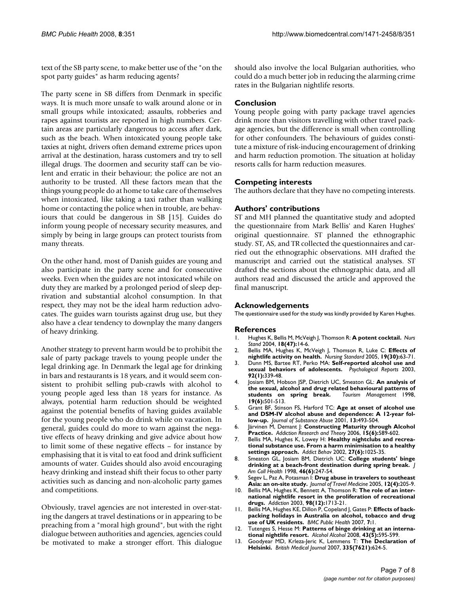text of the SB party scene, to make better use of the "on the spot party guides" as harm reducing agents?

The party scene in SB differs from Denmark in specific ways. It is much more unsafe to walk around alone or in small groups while intoxicated; assaults, robberies and rapes against tourists are reported in high numbers. Certain areas are particularly dangerous to access after dark, such as the beach. When intoxicated young people take taxies at night, drivers often demand extreme prices upon arrival at the destination, harass customers and try to sell illegal drugs. The doormen and security staff can be violent and erratic in their behaviour; the police are not an authority to be trusted. All these factors mean that the things young people do at home to take care of themselves when intoxicated, like taking a taxi rather than walking home or contacting the police when in trouble, are behaviours that could be dangerous in SB [15]. Guides do inform young people of necessary security measures, and simply by being in large groups can protect tourists from many threats.

On the other hand, most of Danish guides are young and also participate in the party scene and for consecutive weeks. Even when the guides are not intoxicated while on duty they are marked by a prolonged period of sleep deprivation and substantial alcohol consumption. In that respect, they may not be the ideal harm reduction advocates. The guides warn tourists against drug use, but they also have a clear tendency to downplay the many dangers of heavy drinking.

Another strategy to prevent harm would be to prohibit the sale of party package travels to young people under the legal drinking age. In Denmark the legal age for drinking in bars and restaurants is 18 years, and it would seem consistent to prohibit selling pub-crawls with alcohol to young people aged less than 18 years for instance. As always, potential harm reduction should be weighted against the potential benefits of having guides available for the young people who do drink while on vacation. In general, guides could do more to warn against the negative effects of heavy drinking and give advice about how to limit some of these negative effects – for instance by emphasising that it is vital to eat food and drink sufficient amounts of water. Guides should also avoid encouraging heavy drinking and instead shift their focus to other party activities such as dancing and non-alcoholic party games and competitions.

Obviously, travel agencies are not interested in over-stating the dangers at travel destinations or in appearing to be preaching from a "moral high ground", but with the right dialogue between authorities and agencies, agencies could be motivated to make a stronger effort. This dialogue should also involve the local Bulgarian authorities, who could do a much better job in reducing the alarming crime rates in the Bulgarian nightlife resorts.

## **Conclusion**

Young people going with party package travel agencies drink more than visitors travelling with other travel package agencies, but the difference is small when controlling for other confounders. The behaviours of guides constitute a mixture of risk-inducing encouragement of drinking and harm reduction promotion. The situation at holiday resorts calls for harm reduction measures.

## **Competing interests**

The authors declare that they have no competing interests.

## **Authors' contributions**

ST and MH planned the quantitative study and adopted the questionnaire from Mark Bellis' and Karen Hughes' original questionnaire. ST planned the ethnographic study. ST, AS, and TR collected the questionnaires and carried out the ethnographic observations. MH drafted the manuscript and carried out the statistical analyses. ST drafted the sections about the ethnographic data, and all authors read and discussed the article and approved the final manuscript.

## **Acknowledgements**

The questionnaire used for the study was kindly provided by Karen Hughes.

#### **References**

- 1. Hughes K, Bellis M, McVeigh J, Thomson R: **[A potent cocktail.](http://www.ncbi.nlm.nih.gov/entrez/query.fcgi?cmd=Retrieve&db=PubMed&dopt=Abstract&list_uids=15357545)** *Nurs Stand* 2004, **18(47):**14-6.
- 2. Bellis MA, Hughes K, McVeigh J, Thomson R, Luke C: **[Effects of](http://www.ncbi.nlm.nih.gov/entrez/query.fcgi?cmd=Retrieve&db=PubMed&dopt=Abstract&list_uids=15835440) [nightlife activity on health.](http://www.ncbi.nlm.nih.gov/entrez/query.fcgi?cmd=Retrieve&db=PubMed&dopt=Abstract&list_uids=15835440)** *Nursing Standard* 2005, **19(30):**63-71.
- 3. Dunn MS, Bartee RT, Perko MA: **[Self-reported alcohol use and](http://www.ncbi.nlm.nih.gov/entrez/query.fcgi?cmd=Retrieve&db=PubMed&dopt=Abstract&list_uids=12674302) [sexual behaviors of adolescents.](http://www.ncbi.nlm.nih.gov/entrez/query.fcgi?cmd=Retrieve&db=PubMed&dopt=Abstract&list_uids=12674302)** *Psychological Reports* 2003, **92(1):**339-48.
- 4. Josiam BM, Hobson JSP, Dietrich UC, Smeaton GL: **An analysis of the sexual, alcohol and drug related behavioural patterns of** students on spring break. **19(6):**501-513.
- 5. Grant BF, Stinson FS, Harford TC: **[Age at onset of alcohol use](http://www.ncbi.nlm.nih.gov/entrez/query.fcgi?cmd=Retrieve&db=PubMed&dopt=Abstract&list_uids=11775078) [and DSM-IV alcohol abuse and dependence: A 12-year fol](http://www.ncbi.nlm.nih.gov/entrez/query.fcgi?cmd=Retrieve&db=PubMed&dopt=Abstract&list_uids=11775078)[low-up.](http://www.ncbi.nlm.nih.gov/entrez/query.fcgi?cmd=Retrieve&db=PubMed&dopt=Abstract&list_uids=11775078)** *Journal of Substance Abuse* 2001, **13:**493-504.
- 6. Järvinen M, Demant J: **Constructing Maturity through Alcohol Practice.** *Addiction Research and Theory* 2006, **15(6):**589-602.
- 7. Bellis MA, Hughes K, Lowey H: **[Healthy nightclubs and recrea](http://www.ncbi.nlm.nih.gov/entrez/query.fcgi?cmd=Retrieve&db=PubMed&dopt=Abstract&list_uids=12369470)[tional substance use. From a harm minimisation to a healthy](http://www.ncbi.nlm.nih.gov/entrez/query.fcgi?cmd=Retrieve&db=PubMed&dopt=Abstract&list_uids=12369470) [settings approach.](http://www.ncbi.nlm.nih.gov/entrez/query.fcgi?cmd=Retrieve&db=PubMed&dopt=Abstract&list_uids=12369470)** *Addict Behav* 2002, **27(6):**1025-35.
- 8. Smeaton GL, Josiam BM, Dietrich UC: **[College students' binge](http://www.ncbi.nlm.nih.gov/entrez/query.fcgi?cmd=Retrieve&db=PubMed&dopt=Abstract&list_uids=9609971) [drinking at a beach-front destination during spring break.](http://www.ncbi.nlm.nih.gov/entrez/query.fcgi?cmd=Retrieve&db=PubMed&dopt=Abstract&list_uids=9609971)** *J Am Coll Health* 1998, **46(6):**247-54.
- 9. Segev L, Paz A, Potasman I: **[Drug abuse in travelers to southeast](http://www.ncbi.nlm.nih.gov/entrez/query.fcgi?cmd=Retrieve&db=PubMed&dopt=Abstract&list_uids=16086895) [Asia: an on-site study.](http://www.ncbi.nlm.nih.gov/entrez/query.fcgi?cmd=Retrieve&db=PubMed&dopt=Abstract&list_uids=16086895)** *Journal of Travel Medicine* 2005, **12(4):**205-9.
- 10. Bellis MA, Hughes K, Bennett A, Thomson R: **[The role of an inter](http://www.ncbi.nlm.nih.gov/entrez/query.fcgi?cmd=Retrieve&db=PubMed&dopt=Abstract&list_uids=14651503)[national nightlife resort in the proliferation of recreational](http://www.ncbi.nlm.nih.gov/entrez/query.fcgi?cmd=Retrieve&db=PubMed&dopt=Abstract&list_uids=14651503) [drugs.](http://www.ncbi.nlm.nih.gov/entrez/query.fcgi?cmd=Retrieve&db=PubMed&dopt=Abstract&list_uids=14651503)** *Addiction* 2003, **98(12):**1713-21.
- 11. Bellis MA, Hughes KE, Dillon P, Copeland J, Gates P: **[Effects of back](http://www.ncbi.nlm.nih.gov/entrez/query.fcgi?cmd=Retrieve&db=PubMed&dopt=Abstract&list_uids=17199891)[packing holidays in Australia on alcohol, tobacco and drug](http://www.ncbi.nlm.nih.gov/entrez/query.fcgi?cmd=Retrieve&db=PubMed&dopt=Abstract&list_uids=17199891) [use of UK residents.](http://www.ncbi.nlm.nih.gov/entrez/query.fcgi?cmd=Retrieve&db=PubMed&dopt=Abstract&list_uids=17199891)** *BMC Public Health* 2007, **7:**1.
- 12. Tutenges S, Hesse M: **[Patterns of binge drinking at an interna](http://www.ncbi.nlm.nih.gov/entrez/query.fcgi?cmd=Retrieve&db=PubMed&dopt=Abstract&list_uids=18503081)[tional nightlife resort.](http://www.ncbi.nlm.nih.gov/entrez/query.fcgi?cmd=Retrieve&db=PubMed&dopt=Abstract&list_uids=18503081)** *Alcohol Alcohol* 2008, **43(5):**595-599.
- 13. Goodyear MD, Krleza-Jeric K, Lemmens T: **[The Declaration of](http://www.ncbi.nlm.nih.gov/entrez/query.fcgi?cmd=Retrieve&db=PubMed&dopt=Abstract&list_uids=17901471) [Helsinki.](http://www.ncbi.nlm.nih.gov/entrez/query.fcgi?cmd=Retrieve&db=PubMed&dopt=Abstract&list_uids=17901471)** *British Medical Journal* 2007, **335(7621):**624-5.